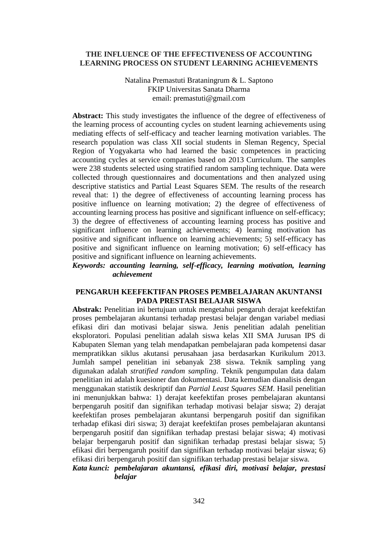### **THE INFLUENCE OF THE EFFECTIVENESS OF ACCOUNTING LEARNING PROCESS ON STUDENT LEARNING ACHIEVEMENTS**

Natalina Premastuti Brataningrum & L. Saptono FKIP Universitas Sanata Dharma email: premastuti@gmail.com

**Abstract:** This study investigates the influence of the degree of effectiveness of the learning process of accounting cycles on student learning achievements using mediating effects of self-efficacy and teacher learning motivation variables. The research population was class XII social students in Sleman Regency, Special Region of Yogyakarta who had learned the basic competences in practicing accounting cycles at service companies based on 2013 Curriculum. The samples were 238 students selected using stratified random sampling technique. Data were collected through questionnaires and documentations and then analyzed using descriptive statistics and Partial Least Squares SEM. The results of the research reveal that: 1) the degree of effectiveness of accounting learning process has positive influence on learning motivation; 2) the degree of effectiveness of accounting learning process has positive and significant influence on self-efficacy; 3) the degree of effectiveness of accounting learning process has positive and significant influence on learning achievements; 4) learning motivation has positive and significant influence on learning achievements; 5) self-efficacy has positive and significant influence on learning motivation; 6) self-efficacy has positive and significant influence on learning achievements.

*Keywords: accounting learning, self-efficacy, learning motivation, learning achievement*

### **PENGARUH KEEFEKTIFAN PROSES PEMBELAJARAN AKUNTANSI PADA PRESTASI BELAJAR SISWA**

**Abstrak:** Penelitian ini bertujuan untuk mengetahui pengaruh derajat keefektifan proses pembelajaran akuntansi terhadap prestasi belajar dengan variabel mediasi efikasi diri dan motivasi belajar siswa. Jenis penelitian adalah penelitian eksploratori. Populasi penelitian adalah siswa kelas XII SMA Jurusan IPS di Kabupaten Sleman yang telah mendapatkan pembelajaran pada kompetensi dasar mempratikkan siklus akutansi perusahaan jasa berdasarkan Kurikulum 2013. Jumlah sampel penelitian ini sebanyak 238 siswa. Teknik sampling yang digunakan adalah *stratified random sampling*. Teknik pengumpulan data dalam penelitian ini adalah kuesioner dan dokumentasi. Data kemudian dianalisis dengan menggunakan statistik deskriptif dan *Partial Least Squares SEM*. Hasil penelitian ini menunjukkan bahwa: 1) derajat keefektifan proses pembelajaran akuntansi berpengaruh positif dan signifikan terhadap motivasi belajar siswa; 2) derajat keefektifan proses pembelajaran akuntansi berpengaruh positif dan signifikan terhadap efikasi diri siswa; 3) derajat keefektifan proses pembelajaran akuntansi berpengaruh positif dan signifikan terhadap prestasi belajar siswa; 4) motivasi belajar berpengaruh positif dan signifikan terhadap prestasi belajar siswa; 5) efikasi diri berpengaruh positif dan signifikan terhadap motivasi belajar siswa; 6) efikasi diri berpengaruh positif dan signifikan terhadap prestasi belajar siswa.

### *Kata kunci: pembelajaran akuntansi, efikasi diri, motivasi belajar, prestasi belajar*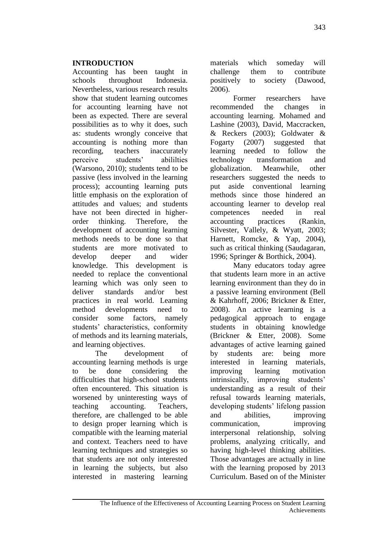# **INTRODUCTION**

Accounting has been taught in schools throughout Indonesia. Nevertheless, various research results show that student learning outcomes for accounting learning have not been as expected. There are several possibilities as to why it does, such as: students wrongly conceive that accounting is nothing more than recording, teachers inaccurately perceive students' abililties (Warsono, 2010); students tend to be passive (less involved in the learning process); accounting learning puts little emphasis on the exploration of attitudes and values; and students have not been directed in higherorder thinking. Therefore, the development of accounting learning methods needs to be done so that students are more motivated to develop deeper and wider knowledge. This development is needed to replace the conventional learning which was only seen to deliver standards and/or best practices in real world. Learning method developments need to consider some factors, namely students' characteristics, conformity of methods and its learning materials, and learning objectives.

The development of accounting learning methods is urge to be done considering the difficulties that high-school students often encountered. This situation is worsened by uninteresting ways of teaching accounting. Teachers, therefore, are challenged to be able to design proper learning which is compatible with the learning material and context. Teachers need to have learning techniques and strategies so that students are not only interested in learning the subjects, but also interested in mastering learning materials which someday will challenge them to contribute positively to society (Dawood, 2006).

Former researchers have recommended the changes in accounting learning. Mohamed and Lashine (2003), David, Maccracken, & Reckers (2003); Goldwater & Fogarty (2007) suggested that learning needed to follow the technology transformation and globalization. Meanwhile, other researchers suggested the needs to put aside conventional learning methods since those hindered an accounting learner to develop real competences needed in real accounting practices (Rankin, Silvester, Vallely, & Wyatt, 2003; Harnett, Romcke, & Yap, 2004), such as critical thinking (Saudagaran, 1996; Springer & Borthick, 2004).

Many educators today agree that students learn more in an active learning environment than they do in a passive learning environment (Bell & Kahrhoff, 2006; Brickner & Etter, 2008). An active learning is a pedagogical approach to engage students in obtaining knowledge (Brickner & Etter, 2008). Some advantages of active learning gained by students are: being more interested in learning materials, improving learning motivation intrinsically, improving students' understanding as a result of their refusal towards learning materials, developing students' lifelong passion and abilities, improving communication, improving interpersonal relationship, solving problems, analyzing critically, and having high-level thinking abilities. Those advantages are actually in line with the learning proposed by 2013 Curriculum. Based on of the Minister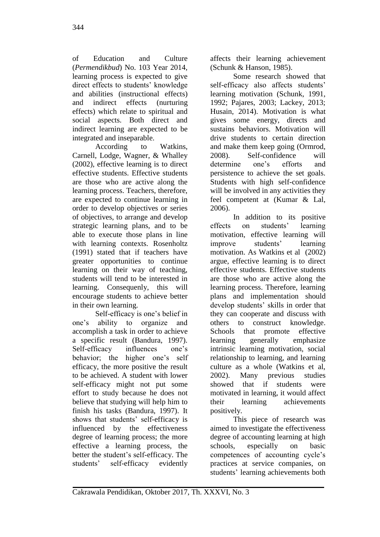of Education and Culture (*Permendikbud*) No. 103 Year 2014, learning process is expected to give direct effects to students' knowledge and abilities (instructional effects) and indirect effects (nurturing effects) which relate to spiritual and social aspects. Both direct and indirect learning are expected to be integrated and inseparable.

According to Watkins, Carnell, Lodge, Wagner, & Whalley (2002), effective learning is to direct effective students. Effective students are those who are active along the learning process. Teachers, therefore, are expected to continue learning in order to develop objectives or series of objectives, to arrange and develop strategic learning plans, and to be able to execute those plans in line with learning contexts. Rosenholtz (1991) stated that if teachers have greater opportunities to continue learning on their way of teaching, students will tend to be interested in learning. Consequenly, this will encourage students to achieve better in their own learning.

Self-efficacy is one's belief in one's ability to organize and accomplish a task in order to achieve a specific result (Bandura, 1997). Self-efficacy influences one's behavior; the higher one's self efficacy, the more positive the result to be achieved. A student with lower self-efficacy might not put some effort to study because he does not believe that studying will help him to finish his tasks (Bandura, 1997). It shows that students' self-efficacy is influenced by the effectiveness degree of learning process; the more effective a learning process, the better the student's self-efficacy. The students' self-efficacy evidently affects their learning achievement (Schunk & Hanson, 1985).

Some research showed that self-efficacy also affects students' learning motivation (Schunk, 1991, 1992; Pajares, 2003; Lackey, 2013; Husain, 2014). Motivation is what gives some energy, directs and sustains behaviors. Motivation will drive students to certain direction and make them keep going (Ormrod, 2008). Self-confidence will determine one's efforts and persistence to achieve the set goals. Students with high self-confidence will be involved in any activities they feel competent at (Kumar & Lal, 2006).

In addition to its positive effects on students' learning motivation, effective learning will improve students' learning motivation. As Watkins et al (2002) argue, effective learning is to direct effective students. Effective students are those who are active along the learning process. Therefore, learning plans and implementation should develop students' skills in order that they can cooperate and discuss with others to construct knowledge. Schools that promote effective learning generally emphasize intrinsic learning motivation, social relationship to learning, and learning culture as a whole (Watkins et al, 2002). Many previous studies showed that if students were motivated in learning, it would affect their learning achievements positively.

This piece of research was aimed to investigate the effectiveness degree of accounting learning at high schools, especially on basic competences of accounting cycle's practices at service companies, on students' learning achievements both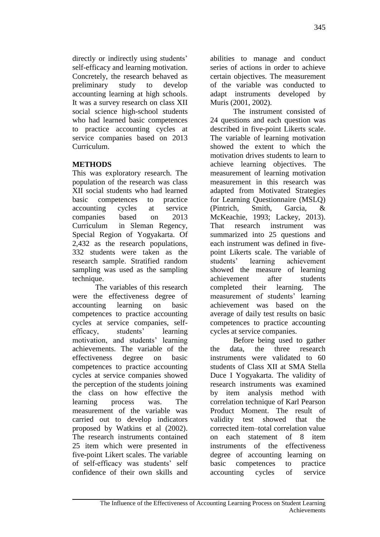directly or indirectly using students' self-efficacy and learning motivation. Concretely, the research behaved as preliminary study to develop accounting learning at high schools. It was a survey research on class XII social science high-school students who had learned basic competences to practice accounting cycles at service companies based on 2013 Curriculum.

# **METHODS**

This was exploratory research. The population of the research was class XII social students who had learned basic competences to practice accounting cycles at service companies based on 2013 Curriculum in Sleman Regency, Special Region of Yogyakarta. Of 2,432 as the research populations, 332 students were taken as the research sample. Stratified random sampling was used as the sampling technique.

The variables of this research were the effectiveness degree of accounting learning on basic competences to practice accounting cycles at service companies, selfefficacy, students' learning motivation, and students' learning achievements. The variable of the effectiveness degree on basic competences to practice accounting cycles at service companies showed the perception of the students joining the class on how effective the learning process was. The measurement of the variable was carried out to develop indicators proposed by Watkins et al (2002). The research instruments contained 25 item which were presented in five-point Likert scales. The variable of self-efficacy was students' self confidence of their own skills and abilities to manage and conduct series of actions in order to achieve certain objectives. The measurement of the variable was conducted to adapt instruments developed by Muris (2001, 2002).

The instrument consisted of 24 questions and each question was described in five-point Likerts scale. The variable of learning motivation showed the extent to which the motivation drives students to learn to achieve learning objectives. The measurement of learning motivation measurement in this research was adapted from Motivated Strategies for Learning Questionnaire (MSLQ) (Pintrich, Smith, Garcia, & McKeachie, 1993; Lackey, 2013). That research instrument was summarized into 25 questions and each instrument was defined in fivepoint Likerts scale. The variable of students' learning achievement showed the measure of learning achievement after students completed their learning. The measurement of students' learning achievement was based on the average of daily test results on basic competences to practice accounting cycles at service companies.

Before being used to gather the data, the three research instruments were validated to 60 students of Class XII at SMA Stella Duce I Yogyakarta. The validity of research instruments was examined by item analysis method with correlation technique of Karl Pearson Product Moment. The result of validity test showed that the corrected item–total correlation value on each statement of 8 item instruments of the effectiveness degree of accounting learning on basic competences to practice accounting cycles of service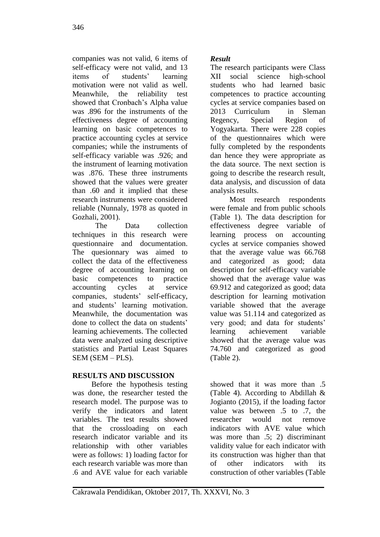companies was not valid, 6 items of self-efficacy were not valid, and 13 items of students' learning motivation were not valid as well. Meanwhile, the reliability test showed that Cronbach's Alpha value was .896 for the instruments of the effectiveness degree of accounting learning on basic competences to practice accounting cycles at service companies; while the instruments of self-efficacy variable was .926; and the instrument of learning motivation was .876. These three instruments showed that the values were greater than .60 and it implied that these research instruments were considered reliable (Nunnaly, 1978 as quoted in Gozhali, 2001).

The Data collection techniques in this research were questionnaire and documentation. The quesionnary was aimed to collect the data of the effectiveness degree of accounting learning on basic competences to practice accounting cycles at service companies, students' self-efficacy, and students' learning motivation. Meanwhile, the documentation was done to collect the data on students' learning achievements. The collected data were analyzed using descriptive statistics and Partial Least Squares SEM (SEM – PLS).

# **RESULTS AND DISCUSSION**

Before the hypothesis testing was done, the researcher tested the research model. The purpose was to verify the indicators and latent variables. The test results showed that the crossloading on each research indicator variable and its relationship with other variables were as follows: 1) loading factor for each research variable was more than .6 and AVE value for each variable

# *Result*

The research participants were Class XII social science high-school students who had learned basic competences to practice accounting cycles at service companies based on 2013 Curriculum in Sleman Regency, Special Region of Yogyakarta. There were 228 copies of the questionnaires which were fully completed by the respondents dan hence they were appropriate as the data source. The next section is going to describe the research result, data analysis, and discussion of data analysis results.

Most research respondents were female and from public schools (Table 1). The data description for effectiveness degree variable of learning process on accounting cycles at service companies showed that the average value was 66.768 and categorized as good; data description for self-efficacy variable showed that the average value was 69.912 and categorized as good; data description for learning motivation variable showed that the average value was 51.114 and categorized as very good; and data for students' learning achievement variable showed that the average value was 74.760 and categorized as good (Table 2).

showed that it was more than .5 (Table 4). According to Abdillah & Jogianto (2015), if the loading factor value was between .5 to .7, the researcher would not remove indicators with AVE value which was more than .5; 2) discriminant validity value for each indicator with its construction was higher than that of other indicators with its construction of other variables (Table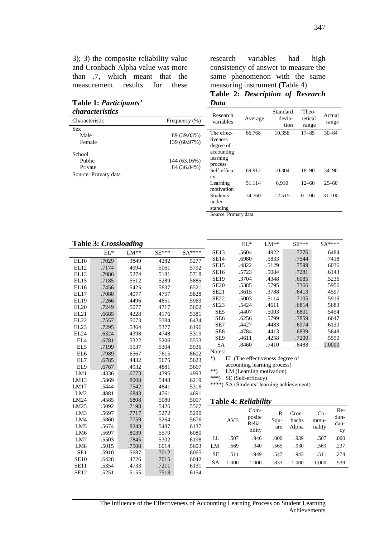3); 3) the composite reliability value and Cronbach Alpha value was more than .7, which meant that the measurement results for these

### **Table 1:** *Participants'*

research variables had high consistency of answer to measure the same phenomenon with the same measuring instrument (Table 4).

**Table 2:** *Description of Research Data*

| characteristics      |               | Research                |         | Standard | Theo-     | Actual     |
|----------------------|---------------|-------------------------|---------|----------|-----------|------------|
| Characteristic       | Frequency (%) | variables               | Average | devia-   | retical   | range      |
| <b>Sex</b>           |               |                         |         | tion     | range     |            |
| Male                 | 89 (39.03%)   | The effec-              | 66.768  | 10.358   | $17 - 85$ | $30 - 84$  |
| Female               | 139 (60.97%)  | tiveness                |         |          |           |            |
|                      |               | degree of               |         |          |           |            |
| School               |               | accounting              |         |          |           |            |
| Public               | 144 (63.16%)  | learning                |         |          |           |            |
| Private              | 84 (36.84%)   | process<br>Self-effica- | 69.912  | 10.304   | $18 - 90$ | $34 - 90$  |
| Source: Primary data |               | cy                      |         |          |           |            |
|                      |               | Learning                | 51.114  | 6.910    | $12 - 60$ | $25 - 60$  |
|                      |               | motivation              |         |          |           |            |
|                      |               | Students'               | 74.760  | 12.515   | $0 - 100$ | $31 - 100$ |
|                      |               | under-                  |         |          |           |            |
|                      |               | standing                |         |          |           |            |
|                      |               | Course Drimory data     |         |          |           |            |

Source: Primary data

| <b>Table 3: Crossloading</b> |        |        |                   |        |                                           |            | $EL^*$               | $LM**$       | $SE***$ |        | SA**** |
|------------------------------|--------|--------|-------------------|--------|-------------------------------------------|------------|----------------------|--------------|---------|--------|--------|
|                              | $EL^*$ | $LM**$ | $\text{SE}^{***}$ | SA**** | <b>SE13</b>                               |            | .5604                | .4922        | .7776   |        | .6484  |
| EL10                         | .7029  | .3849  | .4282             | .5277  | <b>SE14</b>                               |            | .6980                | .5833        | .7544   |        | .7418  |
| EL12                         | .7174  | .4994  | .5061             | .5792  | <b>SE15</b>                               |            | .4822                | .5129        | .7599   |        | .6036  |
| EL13                         | .7086  | .5274  | .5181             | .5718  | SE16                                      |            | .5723                | .5084        | .7281   |        | .6143  |
| EL15                         | .7185  | .5512  | .5289             | .5885  | <b>SE19</b>                               |            | .3704                | .4348        | .6085   |        | .5236  |
| EL16                         | .7456  | .5425  | .5837             | .6521  | <b>SE20</b>                               |            | .5385                | .5795        | .7366   |        | .5956  |
| EL17                         | .7088  | .4077  | .4757             | .5828  | <b>SE21</b>                               |            | .3615                | .3788        | .6413   |        | .4597  |
| <b>EL19</b>                  | .7266  | .4496  | .4851             | .5963  | SE <sub>22</sub>                          |            | .5003                | .5114        | .7105   |        | .5916  |
| EL20                         | .7249  | .5077  | .4717             | .5602  | <b>SE23</b>                               |            | .5424                | .4611        | .6814   |        | .5683  |
| EL21                         | .6685  | .4228  | .4176             | .5381  | SE <sub>5</sub>                           |            | .4407                | .5003        | .6801   |        | .5454  |
| EL <sub>22</sub>             | .7557  | .5073  | .5384             | .6434  | SE <sub>6</sub>                           |            | .6256                | .5799        | .7859   |        | .6647  |
| EL <sub>23</sub>             | .7295  | .5364  | .5377             | .6196  | SE7                                       |            | .4427                | .4483        | .6974   |        | .6130  |
| EL24                         | .6324  | .4398  | .4748             | .5319  | SE <sub>8</sub>                           |            | .4784                | .4413        | .6839   |        | .5648  |
| EL <sub>4</sub>              | .6781  | .5322  | .5206             | .5553  | SE9                                       |            | .4611                | .4258        | .7200   |        | .5590  |
| EL <sub>5</sub>              | .7199  | .5537  | .5304             | .5936  | <b>SA</b>                                 |            | .8460                | .7410        | .8488   |        | 1.0000 |
| EL <sub>6</sub>              | .7989  | .6567  | .7615             | .8602  | Notes:                                    |            |                      |              |         |        |        |
| EL7                          | .6785  | .4432  | .5675             | .5623  | $^*)$<br>EL (The effectiveness degree of  |            |                      |              |         |        |        |
| EL9                          | .6767  | .4932  | .4881             | .5667  | accounting learning process)              |            |                      |              |         |        |        |
| LM1                          | .4336  | .6773  | .4396             | .4993  | **)<br>LM (Learning motivation)           |            |                      |              |         |        |        |
| LM13                         | .5869  | .8008  | .5448             | .6219  | $***$<br>SE (Self-efficacy)               |            |                      |              |         |        |        |
| LM17                         | .5444  | .7542  | .4841             | .5316  | ****) SA (Students' learning achievement) |            |                      |              |         |        |        |
| LM <sub>2</sub>              | .4881  | .6843  | .4761             | .4691  |                                           |            |                      |              |         |        |        |
| LM24                         | .4585  | .6808  | .5080             | .5007  |                                           |            | Table 4: Reliability |              |         |        |        |
| LM25                         | .5092  | .7198  | .5426             | .5567  |                                           |            |                      |              |         |        |        |
| LM3                          | .5697  | .7717  | .5272             | .5290  |                                           |            | Com-                 | $\mathbb{R}$ | Cron-   | $Co-$  | Re-    |
| LM4                          | .5860  | .7759  | .5264             | .5676  |                                           | <b>AVE</b> | posite               | Squ-         | bachs   | mmu-   | dun-   |
| LM <sub>5</sub>              | .5674  | .8248  | .5487             | .6137  |                                           |            | Relia-               | are          | Alpha   | nality | dan-   |
| LM <sub>6</sub>              | .5697  | .8039  | .5570             | .6080  |                                           |            | bility               |              |         |        | cy     |
| LM7                          | .5503  | .7845  | .5302             | .6198  | EL                                        | .507       | .946                 | .000         | .939    | .507   | .000   |
| LM <sub>8</sub>              | .5015  | .7508  | .6014             | .5603  | LM                                        | .569       | .940                 | .565         | .930    | .569   | .237   |
| SE1                          | .5910  | .5687  | .7012             | .6065  | <b>SE</b>                                 | .511       | .949                 | .547         | .943    | .511   | .274   |
| <b>SE10</b>                  | .6428  | .4726  | .7015             | .6042  | <b>SA</b>                                 | 1.000      | 1.000                | .833         | 1.000   | 1.000  | .539   |
| <b>SE11</b>                  | .5354  | .4733  | .7211             | .6131  |                                           |            |                      |              |         |        |        |
| <b>SE12</b>                  | .5251  | .5155  | .7518             | .6154  |                                           |            |                      |              |         |        |        |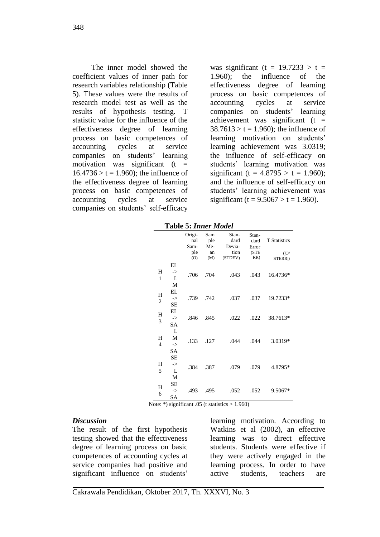The inner model showed the coefficient values of inner path for research variables relationship (Table 5). These values were the results of research model test as well as the results of hypothesis testing. T statistic value for the influence of the effectiveness degree of learning process on basic competences of accounting cycles at service companies on students' learning motivation was significant  $(t =$  $16.4736 > t = 1.960$ ; the influence of the effectiveness degree of learning process on basic competences of accounting cycles at service companies on students' self-efficacy was significant (t =  $19.7233 > t$  = 1.960); the influence of the effectiveness degree of learning process on basic competences of accounting cycles at service companies on students' learning achievement was significant (t =  $38.7613 > t = 1.960$ ; the influence of learning motivation on students' learning achievement was 3.0319; the influence of self-efficacy on students' learning motivation was significant (t =  $4.8795 > t = 1.960$ ); and the influence of self-efficacy on students' learning achievement was significant (t =  $9.5067 > t = 1.960$ ).

**Table 5:** *Inner Model*

|                     |                                      | Origi-<br>nal<br>Sam-<br>ple<br>(O) | Sam<br>ple<br>Me-<br>an<br>(M) | Stan-<br>dard<br>Devia-<br>tion<br>(STDEV) | Stan-<br>dard<br>Error<br>(STE<br>RR) | <b>T</b> Statistics<br>( O )<br>STERR ) |
|---------------------|--------------------------------------|-------------------------------------|--------------------------------|--------------------------------------------|---------------------------------------|-----------------------------------------|
| H<br>1              | EL<br>-><br>L<br>M                   | .706                                | .704                           | .043                                       | .043                                  | 16.4736*                                |
| Н<br>2              | EL<br>$\rightarrow$<br><b>SE</b>     | .739                                | .742                           | .037                                       | .037                                  | 19.7233*                                |
| H<br>3              | EL<br>$\rightarrow$<br>SA            | .846                                | .845                           | .022                                       | .022                                  | 38.7613*                                |
| Н<br>$\overline{4}$ | L<br>M<br>$\rightarrow$<br><b>SA</b> | .133                                | .127                           | .044                                       | .044                                  | 3.0319*                                 |
| H<br>5              | SЕ<br>$\rightarrow$<br>L<br>M        | .384                                | .387                           | .079                                       | .079                                  | 4.8795*                                 |
| H<br>6              | SE<br>$\rightarrow$<br>SА            | .493                                | .495                           | .052                                       | .052                                  | $9.5067*$                               |

Note: \*) significant .05 (t statistics  $> 1.960$ )

#### *Discussion*

The result of the first hypothesis testing showed that the effectiveness degree of learning process on basic competences of accounting cycles at service companies had positive and significant influence on students'

learning motivation. According to Watkins et al (2002), an effective learning was to direct effective students. Students were effective if they were actively engaged in the learning process. In order to have active students, teachers are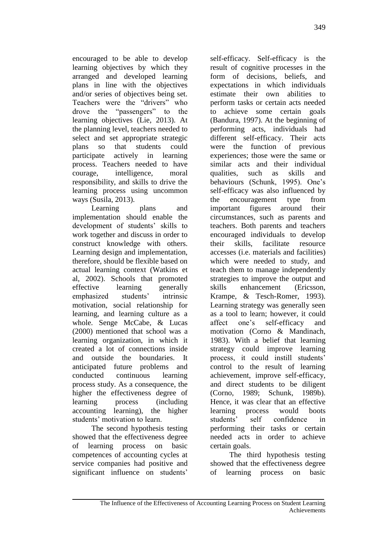encouraged to be able to develop learning objectives by which they arranged and developed learning plans in line with the objectives and/or series of objectives being set. Teachers were the "drivers" who drove the "passengers" to the learning objectives (Lie, 2013). At the planning level, teachers needed to select and set appropriate strategic plans so that students could participate actively in learning process. Teachers needed to have courage, intelligence, moral responsibility, and skills to drive the learning process using uncommon ways (Susila, 2013).

Learning plans and implementation should enable the development of students' skills to work together and discuss in order to construct knowledge with others. Learning design and implementation, therefore, should be flexible based on actual learning context (Watkins et al, 2002). Schools that promoted effective learning generally emphasized students' intrinsic motivation, social relationship for learning, and learning culture as a whole. Senge McCabe, & Lucas (2000) mentioned that school was a learning organization, in which it created a lot of connections inside and outside the boundaries. It anticipated future problems and conducted continuous learning process study. As a consequence, the higher the effectiveness degree of learning process (including accounting learning), the higher students' motivation to learn.

The second hypothesis testing showed that the effectiveness degree of learning process on basic competences of accounting cycles at service companies had positive and significant influence on students'

self-efficacy. Self-efficacy is the result of cognitive processes in the form of decisions, beliefs, and expectations in which individuals estimate their own abilities to perform tasks or certain acts needed to achieve some certain goals (Bandura, 1997). At the beginning of performing acts, individuals had different self-efficacy. Their acts were the function of previous experiences; those were the same or similar acts and their individual qualities, such as skills and behaviours (Schunk, 1995). One's self-efficacy was also influenced by the encouragement type from important figures around their circumstances, such as parents and teachers. Both parents and teachers encouraged individuals to develop their skills, facilitate resource accesses (i.e. materials and facilities) which were needed to study, and teach them to manage independently strategies to improve the output and skills enhancement (Ericsson, Krampe, & Tesch-Romer, 1993). Learning strategy was generally seen as a tool to learn; however, it could affect one's self-efficacy and motivation (Corno & Mandinach, 1983). With a belief that learning strategy could improve learning process, it could instill students' control to the result of learning achievement, improve self-efficacy, and direct students to be diligent (Corno, 1989; Schunk, 1989b). Hence, it was clear that an effective learning process would boots students' self confidence in performing their tasks or certain needed acts in order to achieve certain goals.

The third hypothesis testing showed that the effectiveness degree of learning process on basic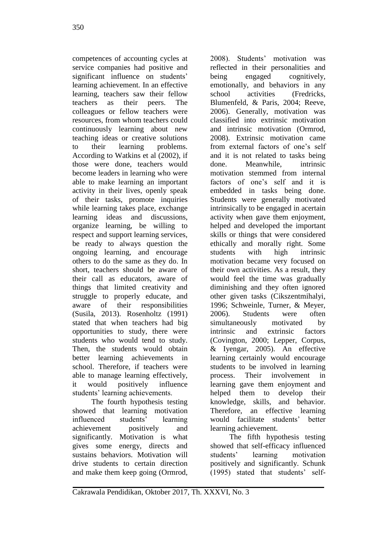competences of accounting cycles at service companies had positive and significant influence on students' learning achievement. In an effective learning, teachers saw their fellow teachers as their peers. The colleagues or fellow teachers were resources, from whom teachers could continuously learning about new teaching ideas or creative solutions to their learning problems. According to Watkins et al (2002), if those were done, teachers would become leaders in learning who were able to make learning an important activity in their lives, openly speak of their tasks, promote inquiries while learning takes place, exchange learning ideas and discussions, organize learning, be willing to respect and support learning services, be ready to always question the ongoing learning, and encourage others to do the same as they do. In short, teachers should be aware of their call as educators, aware of things that limited creativity and struggle to properly educate, and aware of their responsibilities (Susila, 2013). Rosenholtz (1991) stated that when teachers had big opportunities to study, there were students who would tend to study. Then, the students would obtain better learning achievements in school. Therefore, if teachers were able to manage learning effectively, it would positively influence students' learning achievements.

The fourth hypothesis testing showed that learning motivation influenced students' learning achievement positively and significantly. Motivation is what gives some energy, directs and sustains behaviors. Motivation will drive students to certain direction and make them keep going (Ormrod, 2008). Students' motivation was reflected in their personalities and being engaged cognitively, emotionally, and behaviors in any school activities (Fredricks, Blumenfeld, & Paris, 2004; Reeve, 2006). Generally, motivation was classified into extrinsic motivation and intrinsic motivation (Ormrod, 2008). Extrinsic motivation came from external factors of one's self and it is not related to tasks being done. Meanwhile, intrinsic motivation stemmed from internal factors of one's self and it is embedded in tasks being done. Students were generally motivated intrinsically to be engaged in acertain activity when gave them enjoyment, helped and developed the important skills or things that were considered ethically and morally right. Some students with high intrinsic motivation became very focused on their own activities. As a result, they would feel the time was gradually diminishing and they often ignored other given tasks (Cikszentmihalyi, 1996; Schweinle, Turner, & Meyer, 2006). Students were often simultaneously motivated by intrinsic and extrinsic factors (Covington, 2000; Lepper, Corpus, & Iyengar, 2005). An effective learning certainly would encourage students to be involved in learning process. Their involvement in learning gave them enjoyment and helped them to develop their knowledge, skills, and behavior. Therefore, an effective learning would facilitate students' better learning achievement.

The fifth hypothesis testing showed that self-efficacy influenced students' learning motivation positively and significantly. Schunk (1995) stated that students' self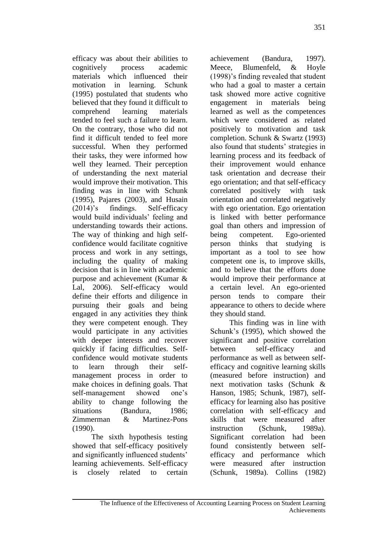efficacy was about their abilities to cognitively process academic materials which influenced their motivation in learning. Schunk (1995) postulated that students who believed that they found it difficult to comprehend learning materials tended to feel such a failure to learn. On the contrary, those who did not find it difficult tended to feel more successful. When they performed their tasks, they were informed how well they learned. Their perception of understanding the next material would improve their motivation. This finding was in line with Schunk (1995), Pajares (2003), and Husain (2014)'s findings. Self-efficacy would build individuals' feeling and understanding towards their actions. The way of thinking and high selfconfidence would facilitate cognitive process and work in any settings, including the quality of making decision that is in line with academic purpose and achievement (Kumar & Lal, 2006). Self-efficacy would define their efforts and diligence in pursuing their goals and being engaged in any activities they think they were competent enough. They would participate in any activities with deeper interests and recover quickly if facing difficulties. Selfconfidence would motivate students<br>to learn through their selfto learn through their management process in order to make choices in defining goals. That self-management showed one's ability to change following the situations (Bandura, 1986; Zimmerman & Martinez-Pons (1990).

The sixth hypothesis testing showed that self-efficacy positively and significantly influenced students' learning achievements. Self-efficacy is closely related to certain achievement (Bandura, 1997). Meece, Blumenfeld, & Hoyle (1998)'s finding revealed that student who had a goal to master a certain task showed more active cognitive engagement in materials being learned as well as the competences which were considered as related positively to motivation and task completion. Schunk & Swartz (1993) also found that students' strategies in learning process and its feedback of their improvement would enhance task orientation and decrease their ego orientation; and that self-efficacy correlated positively with task orientation and correlated negatively with ego orientation. Ego orientation is linked with better performance goal than others and impression of being competent. Ego-oriented person thinks that studying is important as a tool to see how competent one is, to improve skills, and to believe that the efforts done would improve their performance at a certain level. An ego-oriented person tends to compare their appearance to others to decide where they should stand.

This finding was in line with Schunk's (1995), which showed the significant and positive correlation between self-efficacy and performance as well as between selfefficacy and cognitive learning skills (measured before instruction) and next motivation tasks (Schunk & Hanson, 1985; Schunk, 1987), selfefficacy for learning also has positive correlation with self-efficacy and skills that were measured after instruction (Schunk, 1989a). Significant correlation had been found consistently between selfefficacy and performance which were measured after instruction (Schunk, 1989a). Collins (1982)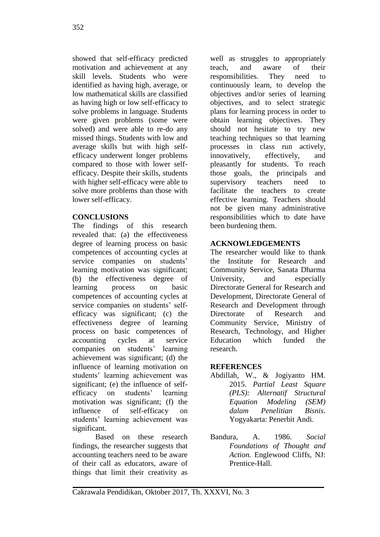showed that self-efficacy predicted motivation and achievement at any skill levels. Students who were identified as having high, average, or low mathematical skills are classified as having high or low self-efficacy to solve problems in language. Students were given problems (some were solved) and were able to re-do any missed things. Students with low and average skills but with high selfefficacy underwent longer problems compared to those with lower selfefficacy. Despite their skills, students with higher self-efficacy were able to solve more problems than those with lower self-efficacy.

# **CONCLUSIONS**

The findings of this research revealed that: (a) the effectiveness degree of learning process on basic competences of accounting cycles at service companies on students' learning motivation was significant; (b) the effectiveness degree of learning process on basic competences of accounting cycles at service companies on students' selfefficacy was significant; (c) the effectiveness degree of learning process on basic competences of accounting cycles at service companies on students' learning achievement was significant; (d) the influence of learning motivation on students' learning achievement was significant; (e) the influence of selfefficacy on students' learning motivation was significant; (f) the influence of self-efficacy on students' learning achievement was significant.

Based on these research findings, the researcher suggests that accounting teachers need to be aware of their call as educators, aware of things that limit their creativity as well as struggles to appropriately teach, and aware of their responsibilities. They need to continuously learn, to develop the objectives and/or series of learning objectives, and to select strategic plans for learning process in order to obtain learning objectives. They should not hesitate to try new teaching techniques so that learning processes in class run actively, innovatively, effectively, and pleasantly for students. To reach those goals, the principals and supervisory teachers need to facilitate the teachers to create effective learning. Teachers should not be given many administrative responsibilities which to date have been burdening them.

# **ACKNOWLEDGEMENTS**

The researcher would like to thank the Institute for Research and Community Service, Sanata Dharma University, and especially Directorate General for Research and Development, Directorate General of Research and Development through Directorate of Research and Community Service, Ministry of Research, Technology, and Higher Education which funded the research.

## **REFERENCES**

- Abdillah, W., & Jogiyanto HM. 2015. *Partial Least Square (PLS): Alternatif Structural Equation Modeling (SEM) dalam Penelitian Bisnis*. Yogyakarta: Penerbit Andi.
- Bandura, A. 1986. *Social Foundations of Thought and Action.* Englewood Cliffs, NJ: Prentice-Hall.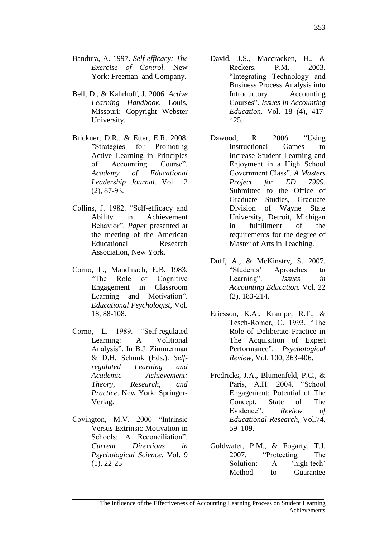- Bandura, A. 1997. *Self-efficacy: The Exercise of Control.* New York: Freeman and Company.
- Bell, D., & Kahrhoff, J. 2006. *Active Learning Handbook*. Louis, Missouri: Copyright Webster University.
- Brickner, D.R., & Etter, E.R. 2008. "Strategies for Promoting Active Learning in Principles of Accounting Course". *Academy of Educational Leadership Journal.* Vol. 12 (2), 87-93.
- Collins, J. 1982. "Self-efficacy and Ability in Achievement Behavior". *Paper* presented at the meeting of the American Educational Research Association, New York.
- Corno, L., Mandinach, E.B. 1983. "The Role of Cognitive Engagement in Classroom Learning and Motivation". *Educational Psychologist*, Vol. 18, 88-108.
- Corno, L. 1989. "Self-regulated Learning: A Volitional Analysis". In B.J. Zimmerman & D.H. Schunk (Eds.). *Selfregulated Learning and Academic Achievement: Theory, Research, and Practice*. New York: Springer-Verlag.
- Covington, M.V. 2000 "Intrinsic Versus Extrinsic Motivation in Schools: A Reconciliation". *Current Directions in Psychological Science*. Vol. 9 (1), 22-25
- David, J.S., Maccracken, H., & Reckers. P.M. 2003. "Integrating Technology and Business Process Analysis into Introductory Accounting Courses". *Issues in Accounting Education*. Vol. 18 (4), 417- 425.
- Dawood, R. 2006. "Using Instructional Games to Increase Student Learning and Enjoyment in a High School Government Class". *A Masters Project for ED 7999.*  Submitted to the Office of Graduate Studies, Graduate Division of Wayne State University, Detroit, Michigan in fulfillment of the requirements for the degree of Master of Arts in Teaching.
- Duff, A., & McKinstry, S. 2007. "Students' Aproaches to Learning". *Issues in Accounting Education.* Vol. 22 (2), 183-214.
- Ericsson, K.A., Krampe, R.T., & Tesch-Romer, C. 1993. "The Role of Deliberate Practice in The Acquisition of Expert Performance". *Psychological Review,* Vol. 100, 363-406.
- Fredricks, J.A., Blumenfeld, P.C., & Paris, A.H. 2004. "School Engagement: Potential of The Concept, State of The Evidence". *Review of Educational Research*, Vol.74, 59–109.
- Goldwater, P.M., & Fogarty, T.J. 2007. "Protecting The Solution: A 'high-tech' Method to Guarantee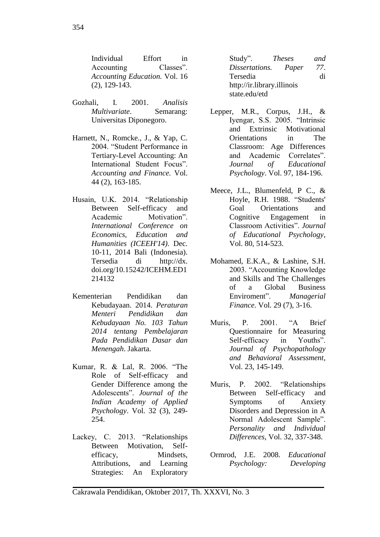Individual Effort in<br>Accounting Classes". Accounting *Accounting Education.* Vol. 16 (2), 129-143.

- Gozhali, I. 2001. *Analisis Multivariate*. Semarang: Universitas Diponegoro.
- Harnett, N., Romcke., J., & Yap, C. 2004. "Student Performance in Tertiary-Level Accounting: An International Student Focus". *Accounting and Finance.* Vol. 44 (2), 163-185.
- Husain, U.K. 2014. "Relationship Between Self-efficacy and Academic Motivation". *International Conference on Economics, Education and Humanities (ICEEH'14)*. Dec. 10-11, 2014 Bali (Indonesia). Tersedia di http://dx. doi.org/10.15242/ICEHM.ED1 214132
- Kementerian Pendidikan dan Kebudayaan. 2014. *Peraturan Menteri Pendidikan dan Kebudayaan No. 103 Tahun 2014 tentang Pembelajaran Pada Pendidikan Dasar dan Menengah*. Jakarta.
- Kumar, R. & Lal, R. 2006. "The Role of Self-efficacy and Gender Difference among the Adolescents". *Journal of the Indian Academy of Applied Psychology*. Vol. 32 (3), 249- 254.
- Lackey, C. 2013. "Relationships Between Motivation, Selfefficacy, Mindsets, Attributions, and Learning Strategies: An Exploratory

Study". *Theses and Dissertations. Paper* Tersedia di [http://ir.library.illinois](http://ir.library.illinois/) state.edu/etd

- Lepper, M.R., Corpus, J.H., & Iyengar, S.S. 2005. "Intrinsic and Extrinsic Motivational Orientations in The Classroom: Age Differences and Academic Correlates". *Journal of Educational Psychology*. Vol. 97, 184-196.
- Meece, J.L., Blumenfeld, P C., & Hoyle, R.H. 1988. "Students' Goal Orientations and Cognitive Engagement in Classroom Activities". *Journal of Educational Psychology*, Vol. 80, 514-523.
- Mohamed, E.K.A., & Lashine, S.H. 2003. "Accounting Knowledge and Skills and The Challenges of a Global Business Enviroment". *Managerial Finance*. Vol. 29 (7), 3-16.
- Muris, P. 2001. "A Brief Questionnaire for Measuring Self-efficacy in Youths". *Journal of Psychopathology and Behavioral Assessment*, Vol. 23, 145-149.
- Muris, P. 2002. "Relationships Between Self-efficacy and Symptoms of Anxiety Disorders and Depression in A Normal Adolescent Sample". *Personality and Individual Differences*, Vol. 32, 337-348.
- Ormrod, J.E. 2008. *Educational Psychology: Developing*

Cakrawala Pendidikan, Oktober 2017, Th. XXXVI, No. 3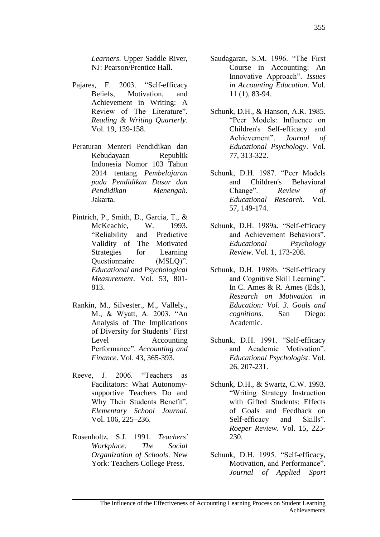*Learners*. Upper Saddle River, NJ: Pearson/Prentice Hall.

- Pajares, F. 2003. "Self-efficacy Beliefs, Motivation, and Achievement in Writing: A Review of The Literature". *Reading & Writing Quarterly*. Vol. 19, 139-158.
- Peraturan Menteri Pendidikan dan Kebudayaan Republik Indonesia Nomor 103 Tahun 2014 tentang *Pembelajaran pada Pendidikan Dasar dan Pendidikan Menengah.* Jakarta.
- Pintrich, P., Smith, D., Garcia, T., & McKeachie, W. 1993. "Reliability and Predictive Validity of The Motivated Strategies for Learning Questionnaire (MSLQ)". *Educational and Psychological Measurement*. Vol. 53, 801- 813.
- Rankin, M., Silvester., M., Vallely., M., & Wyatt, A. 2003. "An Analysis of The Implications of Diversity for Students' First Level Accounting Performance". *Accounting and Finance*. Vol. 43, 365-393.
- Reeve, J. 2006. "Teachers as Facilitators: What Autonomysupportive Teachers Do and Why Their Students Benefit". *Elementary School Journal*. Vol. 106, 225–236.
- Rosenholtz, S.J. 1991. *Teachers' Workplace: The Social Organization of Schools*. New York: Teachers College Press.
- Saudagaran, S.M. 1996. "The First Course in Accounting: An Innovative Approach". *Issues in Accounting Education*. Vol. 11 (1), 83-94.
- Schunk, D.H., & Hanson, A.R. 1985. "Peer Models: Influence on Children's Self-efficacy and Achievement". *Journal of Educational Psychology*. Vol. 77, 313-322.
- Schunk, D.H. 1987. "Peer Models and Children's Behavioral Change". *Review of Educational Research.* Vol. 57, 149-174.
- Schunk, D.H. 1989a. "Self-efficacy and Achievement Behaviors". *Educational Psychology Review*. Vol. 1, 173-208.
- Schunk, D.H. 1989b. "Self-efficacy and Cognitive Skill Learning". In C. Ames & R. Ames (Eds.), *Research on Motivation in Education: Vol. 3. Goals and cognitions*. San Diego: Academic.
- Schunk, D.H. 1991. "Self-efficacy and Academic Motivation". *Educational Psychologist*. Vol. 26, 207-231.
- Schunk, D.H., & Swartz, C.W. 1993. "Writing Strategy Instruction with Gifted Students: Effects of Goals and Feedback on Self-efficacy and Skills". *Roeper Review*. Vol. 15, 225- 230.
- Schunk, D.H. 1995. "Self-efficacy, Motivation, and Performance". *Journal of Applied Sport*